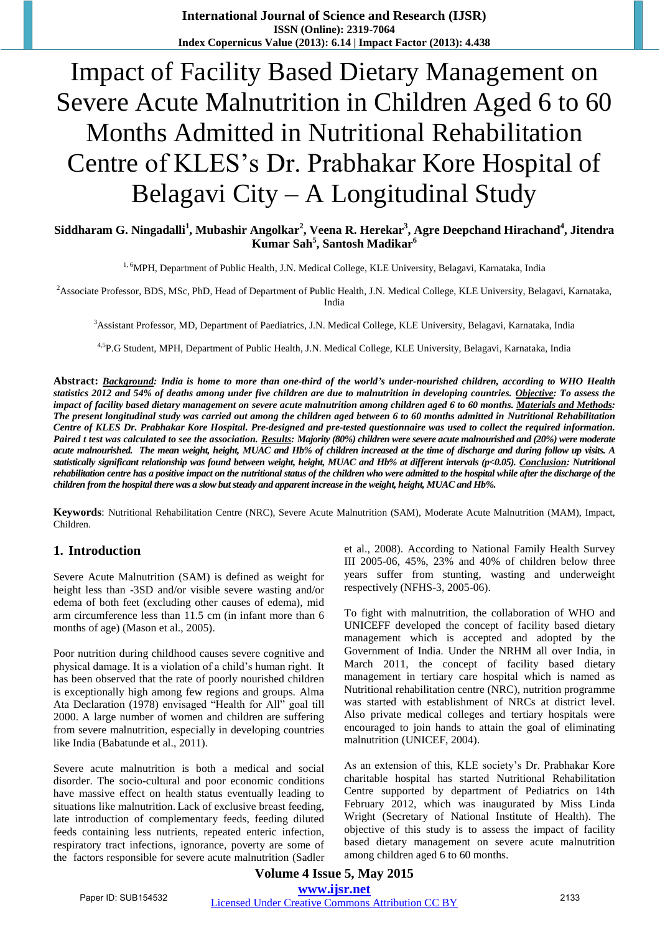**International Journal of Science and Research (IJSR) ISSN (Online): 2319-7064 Index Copernicus Value (2013): 6.14 | Impact Factor (2013): 4.438** 

# Impact of Facility Based Dietary Management on Severe Acute Malnutrition in Children Aged 6 to 60 Months Admitted in Nutritional Rehabilitation Centre of KLES's Dr. Prabhakar Kore Hospital of Belagavi City – A Longitudinal Study

## **Siddharam G. Ningadalli<sup>1</sup> , Mubashir Angolkar<sup>2</sup> , Veena R. Herekar<sup>3</sup> , Agre Deepchand Hirachand<sup>4</sup> , Jitendra Kumar Sah<sup>5</sup> , Santosh Madikar<sup>6</sup>**

<sup>1, 6</sup>MPH, Department of Public Health, J.N. Medical College, KLE University, Belagavi, Karnataka, India

<sup>2</sup>Associate Professor, BDS, MSc, PhD, Head of Department of Public Health, J.N. Medical College, KLE University, Belagavi, Karnataka, India

<sup>3</sup>Assistant Professor, MD, Department of Paediatrics, J.N. Medical College, KLE University, Belagavi, Karnataka, India

4,5P.G Student, MPH, Department of Public Health, J.N. Medical College, KLE University, Belagavi, Karnataka, India

**Abstract:** *Background: India is home to more than one-third of the world's under-nourished children, according to WHO Health statistics 2012 and 54% of deaths among under five children are due to malnutrition in developing countries. Objective: To assess the impact of facility based dietary management on severe acute malnutrition among children aged 6 to 60 months. Materials and Methods: The present longitudinal study was carried out among the children aged between 6 to 60 months admitted in Nutritional Rehabilitation Centre of KLES Dr. Prabhakar Kore Hospital. Pre-designed and pre-tested questionnaire was used to collect the required information. Paired t test was calculated to see the association. Results: Majority (80%) children were severe acute malnourished and (20%) were moderate acute malnourished. The mean weight, height, MUAC and Hb% of children increased at the time of discharge and during follow up visits. A statistically significant relationship was found between weight, height, MUAC and Hb% at different intervals (p<0.05). Conclusion: Nutritional rehabilitation centre has a positive impact on the nutritional status of the children who were admitted to the hospital while after the discharge of the children from the hospital there was a slow but steady and apparent increase in the weight, height, MUAC and Hb%.*

**Keywords**: Nutritional Rehabilitation Centre (NRC), Severe Acute Malnutrition (SAM), Moderate Acute Malnutrition (MAM), Impact, Children.

### **1. Introduction**

Severe Acute Malnutrition (SAM) is defined as weight for height less than -3SD and/or visible severe wasting and/or edema of both feet (excluding other causes of edema), mid arm circumference less than 11.5 cm (in infant more than 6 months of age) (Mason et al., 2005).

Poor nutrition during childhood causes severe cognitive and physical damage. It is a violation of a child's human right. It has been observed that the rate of poorly nourished children is exceptionally high among few regions and groups. Alma Ata Declaration (1978) envisaged "Health for All" goal till 2000. A large number of women and children are suffering from severe malnutrition, especially in developing countries like India (Babatunde et al., 2011).

Severe acute malnutrition is both a medical and social disorder. The socio-cultural and poor economic conditions have massive effect on health status eventually leading to situations like malnutrition. Lack of exclusive breast feeding, late introduction of complementary feeds, feeding diluted feeds containing less nutrients, repeated enteric infection, respiratory tract infections, ignorance, poverty are some of the factors responsible for severe acute malnutrition (Sadler et al., 2008). According to National Family Health Survey III 2005-06, 45%, 23% and 40% of children below three years suffer from stunting, wasting and underweight respectively (NFHS-3, 2005-06).

To fight with malnutrition, the collaboration of WHO and UNICEFF developed the concept of facility based dietary management which is accepted and adopted by the Government of India. Under the NRHM all over India, in March 2011, the concept of facility based dietary management in tertiary care hospital which is named as Nutritional rehabilitation centre (NRC), nutrition programme was started with establishment of NRCs at district level. Also private medical colleges and tertiary hospitals were encouraged to join hands to attain the goal of eliminating malnutrition (UNICEF, 2004).

As an extension of this, KLE society's Dr. Prabhakar Kore charitable hospital has started Nutritional Rehabilitation Centre supported by department of Pediatrics on 14th February 2012, which was inaugurated by Miss Linda Wright (Secretary of National Institute of Health). The objective of this study is to assess the impact of facility based dietary management on severe acute malnutrition among children aged 6 to 60 months.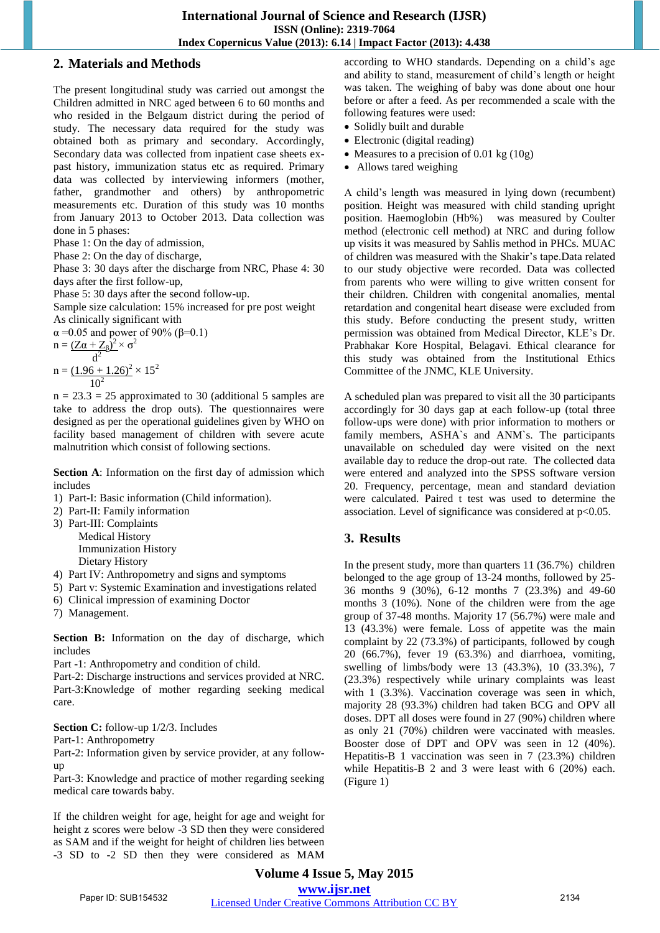## **2. Materials and Methods**

The present longitudinal study was carried out amongst the Children admitted in NRC aged between 6 to 60 months and who resided in the Belgaum district during the period of study. The necessary data required for the study was obtained both as primary and secondary. Accordingly, Secondary data was collected from inpatient case sheets expast history, immunization status etc as required. Primary data was collected by interviewing informers (mother, father, grandmother and others) by anthropometric measurements etc. Duration of this study was 10 months from January 2013 to October 2013. Data collection was done in 5 phases:

Phase 1: On the day of admission,

Phase 2: On the day of discharge,

Phase 3: 30 days after the discharge from NRC, Phase 4: 30 days after the first follow-up,

Phase 5: 30 days after the second follow-up.

Sample size calculation: 15% increased for pre post weight As clinically significant with

α = 0.05 and power of 90% (β=0.1)  $n = (\mathbf{Z}\alpha + \mathbf{Z}_{\beta})^2 \times \sigma^2$  $d^2$ 

$$
n = \frac{(1.96 + 1.26)^2}{10^2} \times 15^2
$$

 $n = 23.3 = 25$  approximated to 30 (additional 5 samples are take to address the drop outs). The questionnaires were designed as per the operational guidelines given by WHO on facility based management of children with severe acute malnutrition which consist of following sections.

**Section A**: Information on the first day of admission which includes

- 1) Part-I: Basic information (Child information).
- 2) Part-II: Family information
- 3) Part-III: Complaints Medical History Immunization History Dietary History
- 4) Part IV: Anthropometry and signs and symptoms
- 5) Part v: Systemic Examination and investigations related
- 6) Clinical impression of examining Doctor
- 7) Management.

**Section B:** Information on the day of discharge, which includes

Part -1: Anthropometry and condition of child.

Part-2: Discharge instructions and services provided at NRC. Part-3:Knowledge of mother regarding seeking medical care.

**Section C:** follow-up  $1/2/3$ . Includes

Part-1: Anthropometry

Part-2: Information given by service provider, at any followup

Part-3: Knowledge and practice of mother regarding seeking medical care towards baby.

If the children weight for age, height for age and weight for height z scores were below -3 SD then they were considered as SAM and if the weight for height of children lies between -3 SD to -2 SD then they were considered as MAM according to WHO standards. Depending on a child's age and ability to stand, measurement of child's length or height was taken. The weighing of baby was done about one hour before or after a feed. As per recommended a scale with the following features were used:

- Solidly built and durable
- Electronic (digital reading)
- Measures to a precision of 0.01 kg  $(10g)$
- Allows tared weighing

A child's length was measured in lying down (recumbent) position. Height was measured with child standing upright position. Haemoglobin (Hb%) was measured by Coulter method (electronic cell method) at NRC and during follow up visits it was measured by Sahlis method in PHCs. MUAC of children was measured with the Shakir's tape.Data related to our study objective were recorded. Data was collected from parents who were willing to give written consent for their children. Children with congenital anomalies, mental retardation and congenital heart disease were excluded from this study. Before conducting the present study, written permission was obtained from Medical Director, KLE's Dr. Prabhakar Kore Hospital, Belagavi. Ethical clearance for this study was obtained from the Institutional Ethics Committee of the JNMC, KLE University.

A scheduled plan was prepared to visit all the 30 participants accordingly for 30 days gap at each follow-up (total three follow-ups were done) with prior information to mothers or family members, ASHA`s and ANM`s. The participants unavailable on scheduled day were visited on the next available day to reduce the drop-out rate. The collected data were entered and analyzed into the SPSS software version 20. Frequency, percentage, mean and standard deviation were calculated. Paired t test was used to determine the association. Level of significance was considered at  $p<0.05$ .

# **3. Results**

In the present study, more than quarters 11 (36.7%) children belonged to the age group of 13-24 months, followed by 25- 36 months 9 (30%), 6-12 months 7 (23.3%) and 49-60 months 3 (10%). None of the children were from the age group of 37-48 months. Majority 17 (56.7%) were male and 13 (43.3%) were female. Loss of appetite was the main complaint by 22 (73.3%) of participants, followed by cough 20 (66.7%), fever 19 (63.3%) and diarrhoea, vomiting, swelling of limbs/body were 13 (43.3%), 10 (33.3%), 7 (23.3%) respectively while urinary complaints was least with 1 (3.3%). Vaccination coverage was seen in which, majority 28 (93.3%) children had taken BCG and OPV all doses. DPT all doses were found in 27 (90%) children where as only 21 (70%) children were vaccinated with measles. Booster dose of DPT and OPV was seen in 12 (40%). Hepatitis-B 1 vaccination was seen in 7 (23.3%) children while Hepatitis-B 2 and 3 were least with 6 (20%) each. (Figure 1)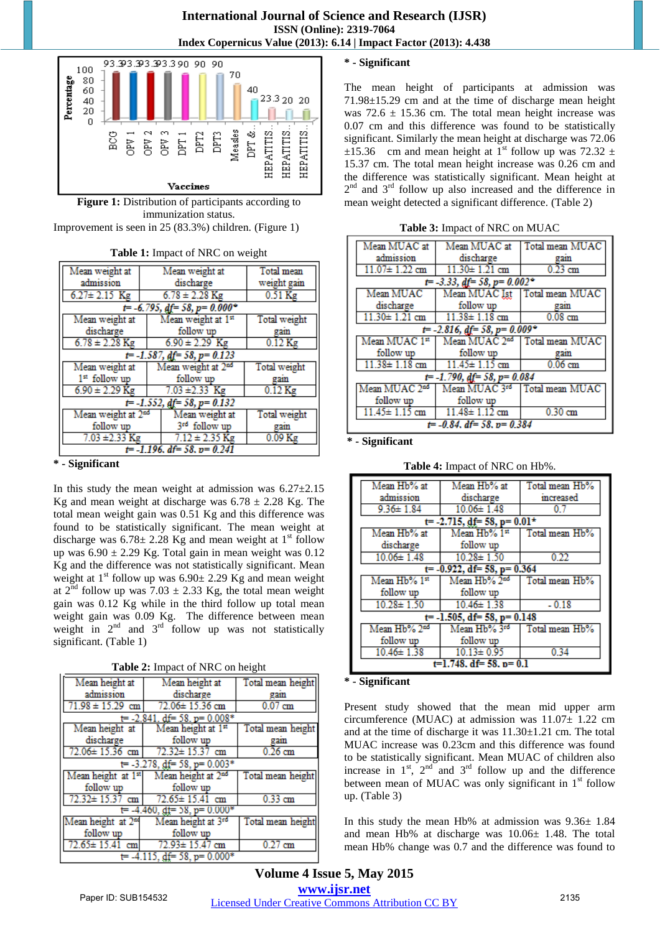



Improvement is seen in 25 (83.3%) children. (Figure 1)

|  |  | Table 1: Impact of NRC on weight |  |
|--|--|----------------------------------|--|
|--|--|----------------------------------|--|

| Mean weight at                    | Mean weight at                    | Total mean          |  |
|-----------------------------------|-----------------------------------|---------------------|--|
| admission                         | discharge                         | weight gain         |  |
| $6.27 \pm 2.15$ Kg                | $6.78 \pm 2.28$ Kg                | $0.51$ Kg           |  |
|                                   | $t$ = -6.795, df = 58, p = 0.000° |                     |  |
| Mean weight at                    | Mean weight at 1st                | <b>Total</b> weight |  |
| discharge                         | follow up                         | gam                 |  |
| $6.78 \pm 2.28$ Kg                | $6.90 \pm 2.29$ Kg                | $0.12$ Kg           |  |
| $t = -1.587$ , df = 58, p = 0.123 |                                   |                     |  |
| Mean weight at                    | Mean weight at 2nd                | Total weight        |  |
| $1st$ follow up                   | follow up                         | gam                 |  |
| $6.90 \pm 2.29$ Kg                | $7.03 \pm 2.33$ Kg                | $0.12$ Kg           |  |
| $t = -1.552$ , df = 58, p = 0.132 |                                   |                     |  |
| Mean weight at 2 <sup>nd</sup>    | Mean weight at                    | Total weight        |  |
| follow up                         | 3rd follow up                     | gain                |  |
| $7.03 \pm 2.33$ Kg                | $7.12 \pm 2.35$ Kg                | $0.09$ Kg           |  |
| $t = -1.196$ , df= 58, p= 0.241   |                                   |                     |  |

#### **\* - Significant**

In this study the mean weight at admission was  $6.27 \pm 2.15$ Kg and mean weight at discharge was  $6.78 \pm 2.28$  Kg. The total mean weight gain was 0.51 Kg and this difference was found to be statistically significant. The mean weight at discharge was  $6.78 \pm 2.28$  Kg and mean weight at 1<sup>st</sup> follow up was  $6.90 \pm 2.29$  Kg. Total gain in mean weight was 0.12 Kg and the difference was not statistically significant. Mean weight at  $1<sup>st</sup>$  follow up was  $6.90 \pm 2.29$  Kg and mean weight at  $2^{nd}$  follow up was 7.03  $\pm$  2.33 Kg, the total mean weight gain was 0.12 Kg while in the third follow up total mean weight gain was 0.09 Kg. The difference between mean weight in  $2<sup>nd</sup>$  and  $3<sup>rd</sup>$  follow up was not statistically significant. (Table 1)

|  | Table 2: Impact of NRC on height |
|--|----------------------------------|
|--|----------------------------------|

| Mean height at                       | Mean height at                   | Total mean height |  |
|--------------------------------------|----------------------------------|-------------------|--|
| admission                            | discharge                        | gain              |  |
| $71.98 \pm 15.29$ cm                 | 72.06±15.36 cm                   | $0.07$ cm         |  |
|                                      | $t = -2.841$ , df= 58, p= 0.008* |                   |  |
| Mean height at                       | Mean height at 1st               | Total mean height |  |
| discharge                            | follow up                        | gain              |  |
| 72.06± 15.36 cm                      | $72.32 \pm 15.37$ cm             | $0.26$ cm         |  |
| $t = -3.278$ , df = 58, p = 0.003*   |                                  |                   |  |
| Mean height at 1st                   | Mean height at 2 <sup>nd</sup>   | Total mean height |  |
| follow up                            | follow up                        |                   |  |
| 72.32± 15.37 cm                      | $72.65 \pm 15.41$ cm             | $0.33$ cm         |  |
| $t = -4.460$ , dt = 58, p = $0.000*$ |                                  |                   |  |
| Mean height at 2 <sup>nd</sup>       | Mean height at 3rd               | Total mean height |  |
| follow up                            | follow up                        |                   |  |
| $72.65 \pm 15.41$ cm                 | 72.93± 15.47 cm                  | $0.27$ cm         |  |
| $=$ -4.115, df = 58, p = 0.000*      |                                  |                   |  |

#### **\* - Significant**

The mean height of participants at admission was 71.98±15.29 cm and at the time of discharge mean height was  $72.6 \pm 15.36$  cm. The total mean height increase was 0.07 cm and this difference was found to be statistically significant. Similarly the mean height at discharge was 72.06  $\pm 15.36$  cm and mean height at 1<sup>st</sup> follow up was 72.32  $\pm$ 15.37 cm. The total mean height increase was 0.26 cm and the difference was statistically significant. Mean height at 2<sup>nd</sup> and 3<sup>rd</sup> follow up also increased and the difference in mean weight detected a significant difference. (Table 2)

|  | <b>Table 3:</b> Impact of NRC on MUAC |
|--|---------------------------------------|
|--|---------------------------------------|

| Mean MUAC at                       |                                   | Mean MUAC at Total mean MUAC              |  |
|------------------------------------|-----------------------------------|-------------------------------------------|--|
| admission                          | discharge                         | gam                                       |  |
| $11.07 \pm 1.22$ cm                | $11.30 \pm 1.21$ cm               | $0.23$ cm                                 |  |
|                                    | $t = -3.33$ , df = 58, p = 0.002° |                                           |  |
| Mean MUAC                          |                                   | Mean MUAC Ist   Total mean MUAC           |  |
| discharge                          | follow up                         | gam                                       |  |
| $11.30 \pm 1.21$ cm                | $11.38 \pm 1.18$ cm               | $0.08$ cm                                 |  |
| $t = -2.816$ , df = 58, p = 0.009° |                                   |                                           |  |
| Mean MUAC 1st                      |                                   | Mean MUAC 2 <sup>nd</sup> Total mean MUAC |  |
| follow up                          | follow up                         | gam                                       |  |
| $11.38 \pm 1.18$ cm                | $11.45 \pm 1.15$ cm               | $0.06$ cm                                 |  |
| $t = -1.790$ , df = 58, p = 0.084  |                                   |                                           |  |
| Mean MUAC 2 <sup>nd</sup>          |                                   | Mean MUAC 3rd Total mean MUAC             |  |
| follow up                          | follow up                         |                                           |  |
| 11.45± 1.15 cm                     | $11.48 \pm 1.12$ cm               | $0.30$ cm                                 |  |
| $t = -0.84$ , df = 58, p = 0.384   |                                   |                                           |  |

**\* - Significant** 

| Table 4: Impact of NRC on Hb%. |  |
|--------------------------------|--|
|--------------------------------|--|

| Mean Hb% at                     | Mean Hb% at                       | Total mean Hb% |  |
|---------------------------------|-----------------------------------|----------------|--|
| admission                       | discharge                         | increased      |  |
| $9.36 \pm 1.84$                 | $10.06 \pm 1.48$                  | 0.7            |  |
|                                 | $t = -2.715$ , df = 58, p = 0.01* |                |  |
| Mean Hb% at                     | Mean Hb% 1st                      | Total mean Hb% |  |
| discharge                       | follow up                         |                |  |
| $10.06 \pm 1.48$                | $10.28 \pm 1.50$                  | 0.22           |  |
| $t = -0.922$ , df= 58, p= 0.364 |                                   |                |  |
| Mean Hb% 1st                    | Mean Hb% 2nd                      | Total mean Hb% |  |
| follow up                       | follow up                         |                |  |
| $10.28 \pm 1.50$                | $10.46 \pm 1.38$                  | $-0.18$        |  |
| $t=$ -1.505, df= 58, p= 0.148   |                                   |                |  |
| Mean Hb% 2ad                    | Mean Hb% 3rd                      | Total mean Hb% |  |
| follow up                       | follow up                         |                |  |
| $10.46 \pm 1.38$                | $10.13 \pm 0.95$                  | 0.34           |  |
| $t=1.748$ , df= 58, p= 0.1      |                                   |                |  |

#### **\* - Significant**

Present study showed that the mean mid upper arm circumference (MUAC) at admission was 11.07± 1.22 cm and at the time of discharge it was 11.30±1.21 cm. The total MUAC increase was 0.23cm and this difference was found to be statistically significant. Mean MUAC of children also increase in  $1<sup>st</sup>$ ,  $2<sup>nd</sup>$  and  $3<sup>rd</sup>$  follow up and the difference between mean of MUAC was only significant in  $1<sup>st</sup>$  follow up. (Table 3)

In this study the mean Hb% at admission was  $9.36 \pm 1.84$ and mean Hb% at discharge was 10.06± 1.48. The total mean Hb% change was 0.7 and the difference was found to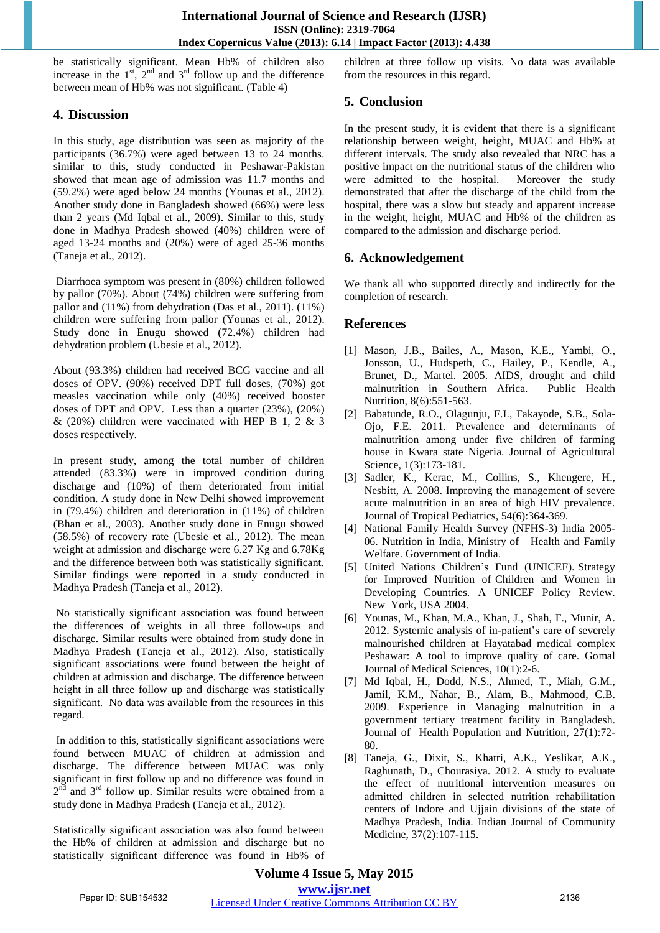be statistically significant. Mean Hb% of children also increase in the  $1^{st}$ ,  $2^{nd}$  and  $3^{rd}$  follow up and the difference between mean of Hb% was not significant. (Table 4)

## **4. Discussion**

In this study, age distribution was seen as majority of the participants (36.7%) were aged between 13 to 24 months. similar to this, study conducted in Peshawar-Pakistan showed that mean age of admission was 11.7 months and (59.2%) were aged below 24 months (Younas et al., 2012). Another study done in Bangladesh showed (66%) were less than 2 years (Md Iqbal et al., 2009). Similar to this, study done in Madhya Pradesh showed (40%) children were of aged 13-24 months and (20%) were of aged 25-36 months (Taneja et al., 2012).

 Diarrhoea symptom was present in (80%) children followed by pallor (70%). About (74%) children were suffering from pallor and (11%) from dehydration (Das et al., 2011). (11%) children were suffering from pallor (Younas et al., 2012). Study done in Enugu showed (72.4%) children had dehydration problem (Ubesie et al., 2012).

About (93.3%) children had received BCG vaccine and all doses of OPV. (90%) received DPT full doses, (70%) got measles vaccination while only (40%) received booster doses of DPT and OPV. Less than a quarter (23%), (20%) & (20%) children were vaccinated with HEP B 1, 2 & 3 doses respectively.

In present study, among the total number of children attended (83.3%) were in improved condition during discharge and (10%) of them deteriorated from initial condition. A study done in New Delhi showed improvement in (79.4%) children and deterioration in (11%) of children (Bhan et al., 2003). Another study done in Enugu showed (58.5%) of recovery rate (Ubesie et al., 2012). The mean weight at admission and discharge were 6.27 Kg and 6.78Kg and the difference between both was statistically significant. Similar findings were reported in a study conducted in Madhya Pradesh (Taneja et al., 2012).

 No statistically significant association was found between the differences of weights in all three follow-ups and discharge. Similar results were obtained from study done in Madhya Pradesh (Taneja et al., 2012). Also, statistically significant associations were found between the height of children at admission and discharge. The difference between height in all three follow up and discharge was statistically significant. No data was available from the resources in this regard.

 In addition to this, statistically significant associations were found between MUAC of children at admission and discharge. The difference between MUAC was only significant in first follow up and no difference was found in  $2<sup>nd</sup>$  and  $3<sup>rd</sup>$  follow up. Similar results were obtained from a study done in Madhya Pradesh (Taneja et al., 2012).

Statistically significant association was also found between the Hb% of children at admission and discharge but no statistically significant difference was found in Hb% of children at three follow up visits. No data was available from the resources in this regard.

# **5. Conclusion**

In the present study, it is evident that there is a significant relationship between weight, height, MUAC and Hb% at different intervals. The study also revealed that NRC has a positive impact on the nutritional status of the children who were admitted to the hospital. Moreover the study demonstrated that after the discharge of the child from the hospital, there was a slow but steady and apparent increase in the weight, height, MUAC and Hb% of the children as compared to the admission and discharge period.

# **6. Acknowledgement**

We thank all who supported directly and indirectly for the completion of research.

# **References**

- [1] Mason, J.B., Bailes, A., Mason, K.E., Yambi, O., Jonsson, U., Hudspeth, C., Hailey, P., Kendle, A., Brunet, D., Martel. 2005. AIDS, drought and child malnutrition in Southern Africa. Public Health Nutrition, 8(6):551-563.
- [2] Babatunde, R.O., Olagunju, F.I., Fakayode, S.B., Sola-Ojo, F.E. 2011. Prevalence and determinants of malnutrition among under five children of farming house in Kwara state Nigeria. Journal of Agricultural Science, 1(3):173-181.
- [3] Sadler, K., Kerac, M., Collins, S., Khengere, H., Nesbitt, A. 2008. Improving the management of severe acute malnutrition in an area of high HIV prevalence. Journal of Tropical Pediatrics, 54(6):364-369.
- [4] National Family Health Survey (NFHS-3) India 2005- 06. Nutrition in India, Ministry of Health and Family Welfare. Government of India.
- [5] United Nations Children's Fund (UNICEF). Strategy for Improved Nutrition of Children and Women in Developing Countries. A UNICEF Policy Review. New York, USA 2004.
- [6] Younas, M., Khan, M.A., Khan, J., Shah, F., Munir, A. 2012. Systemic analysis of in-patient's care of severely malnourished children at Hayatabad medical complex Peshawar: A tool to improve quality of care. Gomal Journal of Medical Sciences, 10(1):2-6.
- [7] Md Iqbal, H., Dodd, N.S., Ahmed, T., Miah, G.M., Jamil, K.M., Nahar, B., Alam, B., Mahmood, C.B. 2009. Experience in Managing malnutrition in a government tertiary treatment facility in Bangladesh. Journal of Health Population and Nutrition, 27(1):72- 80.
- [8] Taneja, G., Dixit, S., Khatri, A.K., Yeslikar, A.K., Raghunath, D., Chourasiya. 2012. A study to evaluate the effect of nutritional intervention measures on admitted children in selected nutrition rehabilitation centers of Indore and Ujjain divisions of the state of Madhya Pradesh, India. Indian Journal of Community Medicine, 37(2):107-115.